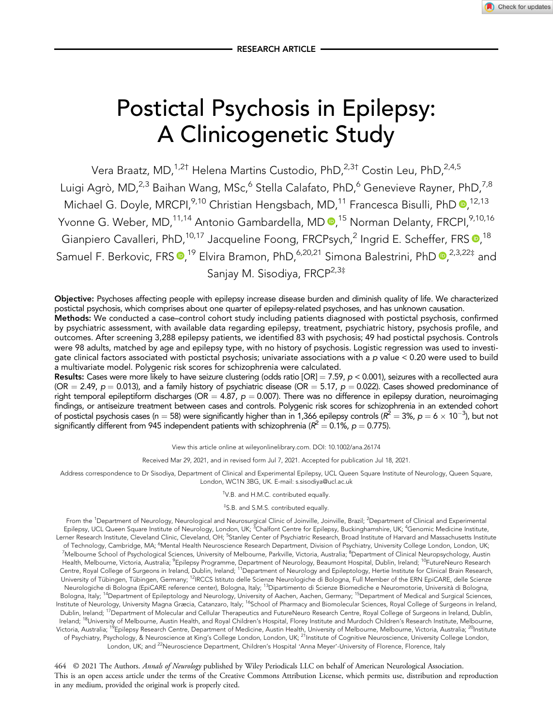Check for updates

# Postictal Psychosis in Epilepsy: A Clinicogenetic Study

Vera Braatz, MD,<sup>1,2†</sup> Helena Martins Custodio, PhD,<sup>2,3†</sup> Costin Leu, PhD,<sup>2,4,5</sup> Luigi Agrò, MD,<sup>2,3</sup> Baihan Wang, MSc,<sup>6</sup> Stella Calafato, PhD,<sup>6</sup> Genevieve Rayner, PhD,<sup>7,8</sup> Michael G. Doyle[,](https://orcid.org/0000-0002-1109-7296) MRCPI,<sup>9,10</sup> Christian Hengsbach, MD,<sup>11</sup> Francesca Bisulli, PhD <sup>0,12,13</sup> Yvonne G. Weber, MD,<sup>11,14</sup> Antonio Gambardella, MD **®**,<sup>15</sup> Norman Delanty, FRCPI,<sup>9,10,16</sup> Gianpiero Cavalleri[,](https://orcid.org/0000-0002-2311-2174) PhD,<sup>10,17</sup> Jacqueline Foong, FRCPsych,<sup>2</sup> Ingrid E. Scheffer, FRS **0**,<sup>18</sup> Samuel F. Berkovic[,](https://orcid.org/0000-0001-5639-1969) FRS  $\bullet$ ,<sup>19</sup> Elvira Bramon, PhD,<sup>6,20,21</sup> Simona Balestrini, PhD  $\bullet$ ,<sup>2,3,22‡</sup> and Sanjay M. Sisodiya, FRCP<sup>2,3‡</sup>

Objective: Psychoses affecting people with epilepsy increase disease burden and diminish quality of life. We characterized postictal psychosis, which comprises about one quarter of epilepsy-related psychoses, and has unknown causation.

Methods: We conducted a case–control cohort study including patients diagnosed with postictal psychosis, confirmed by psychiatric assessment, with available data regarding epilepsy, treatment, psychiatric history, psychosis profile, and outcomes. After screening 3,288 epilepsy patients, we identified 83 with psychosis; 49 had postictal psychosis. Controls were 98 adults, matched by age and epilepsy type, with no history of psychosis. Logistic regression was used to investigate clinical factors associated with postictal psychosis; univariate associations with a p value < 0.20 were used to build a multivariate model. Polygenic risk scores for schizophrenia were calculated.

Results: Cases were more likely to have seizure clustering (odds ratio [OR] = 7.59, p < 0.001), seizures with a recollected aura (OR = 2.49,  $p = 0.013$ ), and a family history of psychiatric disease (OR = 5.17,  $p = 0.022$ ). Cases showed predominance of right temporal epileptiform discharges (OR =  $4.87$ ,  $p = 0.007$ ). There was no difference in epilepsy duration, neuroimaging findings, or antiseizure treatment between cases and controls. Polygenic risk scores for schizophrenia in an extended cohort of postictal psychosis cases (n = 58) were significantly higher than in 1,366 epilepsy controls ( $R^2 = 3$ %, p = 6  $\times$  10<sup>-3</sup>), but not significantly different from 945 independent patients with schizophrenia ( $R^2 = 0.1\%$ ,  $p = 0.775$ ).

View this article online at wileyonlinelibrary.com. DOI: 10.1002/ana.26174

Received Mar 29, 2021, and in revised form Jul 7, 2021. Accepted for publication Jul 18, 2021.

Address correspondence to Dr Sisodiya, Department of Clinical and Experimental Epilepsy, UCL Queen Square Institute of Neurology, Queen Square, London, WC1N 3BG, UK. E-mail: [s.sisodiya@ucl.ac.uk](mailto:s.sisodiya@ucl.ac.uk)

† V.B. and H.M.C. contributed equally.

#### ‡ S.B. and S.M.S. contributed equally.

From the <sup>1</sup>Department of Neurology, Neurological and Neurosurgical Clinic of Joinville, Joinville, Brazil; <sup>2</sup>Department of Clinical and Experimental Epilepsy, UCL Queen Square Institute of Neurology, London, UK; <sup>3</sup>Chalfont Centre for Epilepsy, Buckinghamshire, UK; <sup>4</sup>Genomic Medicine Institute, Lerner Research Institute, Cleveland Clinic, Cleveland, OH; <sup>5</sup>Stanley Center of Psychiatric Research, Broad Institute of Harvard and Massachusetts Institute of Technology, Cambridge, MA; <sup>6</sup>Mental Health Neuroscience Research Department, Division of Psychiatry, University College London, London, UK; <sup>7</sup>Melbourne School of Psychological Sciences, University of Melbourne, Parkville, Victoria, Australia; <sup>8</sup>Department of Clinical Neuropsychology, Austin Health, Melbourne, Victoria, Australia; <sup>9</sup>Epilepsy Programme, Department of Neurology, Beaumont Hospital, Dublin, Ireland; <sup>10</sup>FutureNeuro Research Centre, Royal College of Surgeons in Ireland, Dublin, Ireland; 11Department of Neurology and Epileptology, Hertie Institute for Clinical Brain Research, University of Tübingen, Tübingen, Germany; <sup>12</sup>IRCCS Istituto delle Scienze Neurologiche di Bologna, Full Member of the ERN EpiCARE, delle Scienze Neurologiche di Bologna (EpiCARE reference center), Bologna, Italy; 13Dipartimento di Scienze Biomediche e Neuromotorie, Università di Bologna, Bologna, Italy; <sup>14</sup>Department of Epileptology and Neurology, University of Aachen, Aachen, Germany; <sup>15</sup>Department of Medical and Surgical Sciences, Institute of Neurology, University Magna Græcia, Catanzaro, Italy; <sup>16</sup>School of Pharmacy and Biomolecular Sciences, Royal College of Surgeons in Ireland, Dublin, Ireland; <sup>17</sup>Department of Molecular and Cellular Therapeutics and FutureNeuro Research Centre, Royal College of Surgeons in Ireland, Dublin, Ireland; <sup>18</sup>University of Melbourne, Austin Health, and Royal Children's Hospital, Florey Institute and Murdoch Children's Research Institute, Melbourne, Victoria, Australia; <sup>19</sup>Epilepsy Research Centre, Department of Medicine, Austin Health, University of Melbourne, Melbourne, Victoria, Australia; <sup>20</sup>Institute of Psychiatry, Psychology, & Neuroscience at King's College London, London, UK; <sup>21</sup>Institute of Cognitive Neuroscience, University College London, London, UK; and <sup>22</sup>Neuroscience Department, Children's Hospital 'Anna Meyer'-University of Florence, Florence, Italy

464 © 2021 The Authors. Annals of Neurology published by Wiley Periodicals LLC on behalf of American Neurological Association. This is an open access article under the terms of the [Creative Commons Attribution](http://creativecommons.org/licenses/by/4.0/) License, which permits use, distribution and reproduction in any medium, provided the original work is properly cited.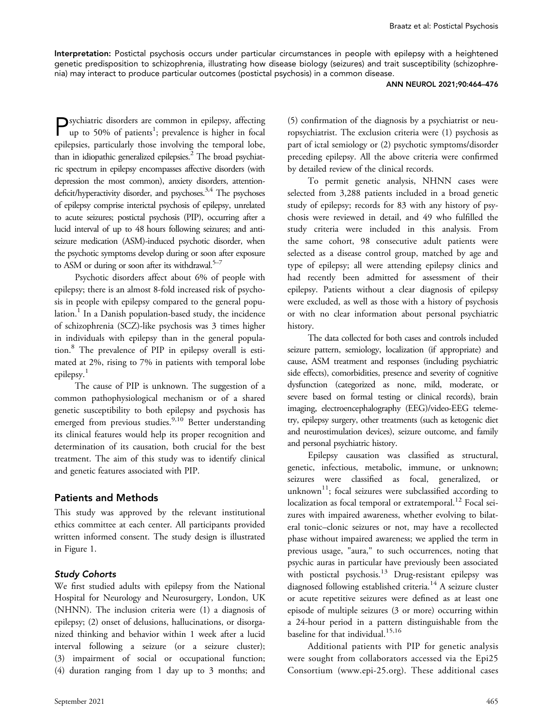Interpretation: Postictal psychosis occurs under particular circumstances in people with epilepsy with a heightened genetic predisposition to schizophrenia, illustrating how disease biology (seizures) and trait susceptibility (schizophrenia) may interact to produce particular outcomes (postictal psychosis) in a common disease.

#### ANN NEUROL 2021;90:464–476

Psychiatric disorders are common in epilepsy, affecting up to 50% of patients<sup>1</sup>; prevalence is higher in focal epilepsies, particularly those involving the temporal lobe, than in idiopathic generalized epilepsies. $<sup>2</sup>$  The broad psychiat-</sup> ric spectrum in epilepsy encompasses affective disorders (with depression the most common), anxiety disorders, attentiondeficit/hyperactivity disorder, and psychoses.<sup>3,4</sup> The psychoses of epilepsy comprise interictal psychosis of epilepsy, unrelated to acute seizures; postictal psychosis (PIP), occurring after a lucid interval of up to 48 hours following seizures; and antiseizure medication (ASM)-induced psychotic disorder, when the psychotic symptoms develop during or soon after exposure to ASM or during or soon after its withdrawal. $5-7$ 

Psychotic disorders affect about 6% of people with epilepsy; there is an almost 8-fold increased risk of psychosis in people with epilepsy compared to the general population.<sup>1</sup> In a Danish population-based study, the incidence of schizophrenia (SCZ)-like psychosis was 3 times higher in individuals with epilepsy than in the general population.<sup>8</sup> The prevalence of PIP in epilepsy overall is estimated at 2%, rising to 7% in patients with temporal lobe epilepsy.<sup>1</sup>

The cause of PIP is unknown. The suggestion of a common pathophysiological mechanism or of a shared genetic susceptibility to both epilepsy and psychosis has emerged from previous studies.  $9,10$  Better understanding its clinical features would help its proper recognition and determination of its causation, both crucial for the best treatment. The aim of this study was to identify clinical and genetic features associated with PIP.

## Patients and Methods

This study was approved by the relevant institutional ethics committee at each center. All participants provided written informed consent. The study design is illustrated in Figure 1.

### Study Cohorts

We first studied adults with epilepsy from the National Hospital for Neurology and Neurosurgery, London, UK (NHNN). The inclusion criteria were (1) a diagnosis of epilepsy; (2) onset of delusions, hallucinations, or disorganized thinking and behavior within 1 week after a lucid interval following a seizure (or a seizure cluster); (3) impairment of social or occupational function; (4) duration ranging from 1 day up to 3 months; and

(5) confirmation of the diagnosis by a psychiatrist or neuropsychiatrist. The exclusion criteria were (1) psychosis as part of ictal semiology or (2) psychotic symptoms/disorder preceding epilepsy. All the above criteria were confirmed by detailed review of the clinical records.

To permit genetic analysis, NHNN cases were selected from 3,288 patients included in a broad genetic study of epilepsy; records for 83 with any history of psychosis were reviewed in detail, and 49 who fulfilled the study criteria were included in this analysis. From the same cohort, 98 consecutive adult patients were selected as a disease control group, matched by age and type of epilepsy; all were attending epilepsy clinics and had recently been admitted for assessment of their epilepsy. Patients without a clear diagnosis of epilepsy were excluded, as well as those with a history of psychosis or with no clear information about personal psychiatric history.

The data collected for both cases and controls included seizure pattern, semiology, localization (if appropriate) and cause, ASM treatment and responses (including psychiatric side effects), comorbidities, presence and severity of cognitive dysfunction (categorized as none, mild, moderate, or severe based on formal testing or clinical records), brain imaging, electroencephalography (EEG)/video-EEG telemetry, epilepsy surgery, other treatments (such as ketogenic diet and neurostimulation devices), seizure outcome, and family and personal psychiatric history.

Epilepsy causation was classified as structural, genetic, infectious, metabolic, immune, or unknown; seizures were classified as focal, generalized, or unknown<sup>11</sup>; focal seizures were subclassified according to localization as focal temporal or extratemporal.<sup>12</sup> Focal seizures with impaired awareness, whether evolving to bilateral tonic–clonic seizures or not, may have a recollected phase without impaired awareness; we applied the term in previous usage, "aura," to such occurrences, noting that psychic auras in particular have previously been associated with postictal psychosis.<sup>13</sup> Drug-resistant epilepsy was diagnosed following established criteria.<sup>14</sup> A seizure cluster or acute repetitive seizures were defined as at least one episode of multiple seizures (3 or more) occurring within a 24-hour period in a pattern distinguishable from the baseline for that individual.<sup>15,16</sup>

Additional patients with PIP for genetic analysis were sought from collaborators accessed via the Epi25 Consortium ([www.epi-25.org\)](http://www.epi-25.org). These additional cases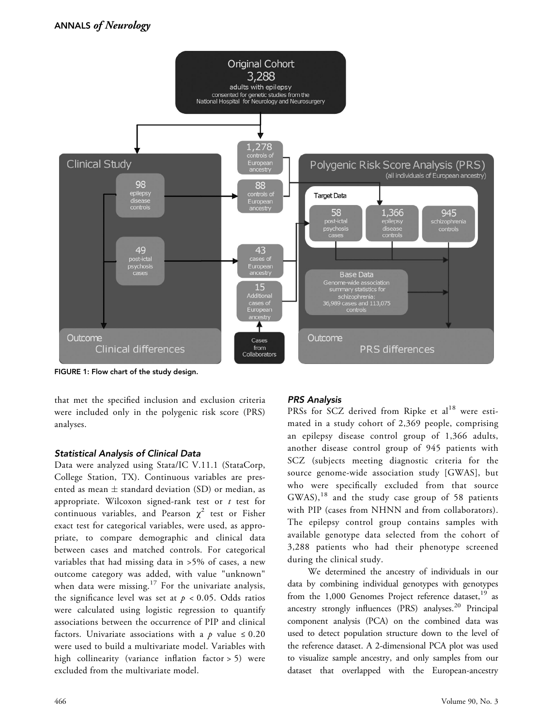

FIGURE 1: Flow chart of the study design.

that met the specified inclusion and exclusion criteria were included only in the polygenic risk score (PRS) analyses.

## Statistical Analysis of Clinical Data

Data were analyzed using Stata/IC V.11.1 (StataCorp, College Station, TX). Continuous variables are presented as mean  $\pm$  standard deviation (SD) or median, as appropriate. Wilcoxon signed-rank test or  $t$  test for continuous variables, and Pearson  $\chi^2$  test or Fisher exact test for categorical variables, were used, as appropriate, to compare demographic and clinical data between cases and matched controls. For categorical variables that had missing data in >5% of cases, a new outcome category was added, with value "unknown" when data were missing.<sup>17</sup> For the univariate analysis, the significance level was set at  $p < 0.05$ . Odds ratios were calculated using logistic regression to quantify associations between the occurrence of PIP and clinical factors. Univariate associations with a p value  $\leq 0.20$ were used to build a multivariate model. Variables with high collinearity (variance inflation factor > 5) were excluded from the multivariate model.

## PRS Analysis

PRSs for SCZ derived from Ripke et al<sup>18</sup> were estimated in a study cohort of 2,369 people, comprising an epilepsy disease control group of 1,366 adults, another disease control group of 945 patients with SCZ (subjects meeting diagnostic criteria for the source genome-wide association study [GWAS], but who were specifically excluded from that source  $GWAS$ ,<sup>18</sup> and the study case group of 58 patients with PIP (cases from NHNN and from collaborators). The epilepsy control group contains samples with available genotype data selected from the cohort of 3,288 patients who had their phenotype screened during the clinical study.

We determined the ancestry of individuals in our data by combining individual genotypes with genotypes from the 1,000 Genomes Project reference dataset,<sup>19</sup> as ancestry strongly influences (PRS) analyses.<sup>20</sup> Principal component analysis (PCA) on the combined data was used to detect population structure down to the level of the reference dataset. A 2-dimensional PCA plot was used to visualize sample ancestry, and only samples from our dataset that overlapped with the European-ancestry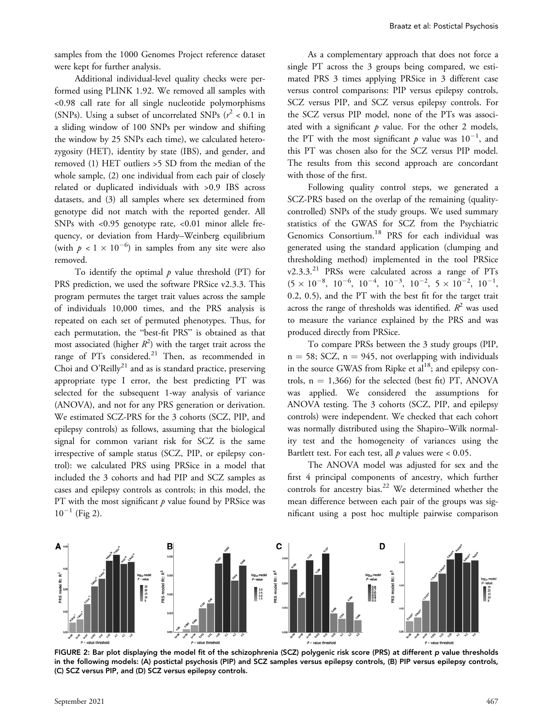samples from the 1000 Genomes Project reference dataset were kept for further analysis.

Additional individual-level quality checks were performed using PLINK 1.92. We removed all samples with <0.98 call rate for all single nucleotide polymorphisms (SNPs). Using a subset of uncorrelated SNPs  $(r^2 < 0.1$  in a sliding window of 100 SNPs per window and shifting the window by 25 SNPs each time), we calculated heterozygosity (HET), identity by state (IBS), and gender, and removed (1) HET outliers >5 SD from the median of the whole sample, (2) one individual from each pair of closely related or duplicated individuals with >0.9 IBS across datasets, and (3) all samples where sex determined from genotype did not match with the reported gender. All SNPs with <0.95 genotype rate, <0.01 minor allele frequency, or deviation from Hardy–Weinberg equilibrium (with  $p < 1 \times 10^{-6}$ ) in samples from any site were also removed.

To identify the optimal  $p$  value threshold (PT) for PRS prediction, we used the software PRSice v2.3.3. This program permutes the target trait values across the sample of individuals 10,000 times, and the PRS analysis is repeated on each set of permuted phenotypes. Thus, for each permutation, the "best-fit PRS" is obtained as that most associated (higher  $R^2$ ) with the target trait across the<br>range of PTs, considered <sup>21</sup>. Then, as recommended in range of PTs considered.<sup>21</sup> Then, as recommended in Choi and O'Reilly<sup>21</sup> and as is standard practice, preserving appropriate type I error, the best predicting PT was selected for the subsequent 1-way analysis of variance (ANOVA), and not for any PRS generation or derivation. We estimated SCZ-PRS for the 3 cohorts (SCZ, PIP, and epilepsy controls) as follows, assuming that the biological signal for common variant risk for SCZ is the same irrespective of sample status (SCZ, PIP, or epilepsy control): we calculated PRS using PRSice in a model that included the 3 cohorts and had PIP and SCZ samples as cases and epilepsy controls as controls; in this model, the PT with the most significant  $p$  value found by PRSice was  $10^{-1}$  (Fig 2).

As a complementary approach that does not force a single PT across the 3 groups being compared, we estimated PRS 3 times applying PRSice in 3 different case versus control comparisons: PIP versus epilepsy controls, SCZ versus PIP, and SCZ versus epilepsy controls. For the SCZ versus PIP model, none of the PTs was associated with a significant  $p$  value. For the other 2 models, the PT with the most significant  $p$  value was  $10^{-1}$ , and<br>this PT was chosen also for the SCZ versus PIP model this PT was chosen also for the SCZ versus PIP model. The results from this second approach are concordant with those of the first.

Following quality control steps, we generated a SCZ-PRS based on the overlap of the remaining (qualitycontrolled) SNPs of the study groups. We used summary statistics of the GWAS for SCZ from the Psychiatric Genomics Consortium.<sup>18</sup> PRS for each individual was generated using the standard application (clumping and thresholding method) implemented in the tool PRSice  $v2.3.3.^{21}$  PRSs were calculated across a range of PTs  $(5 \times 10^{-8}, 10^{-6}, 10^{-4}, 10^{-3}, 10^{-2}, 5 \times 10^{-2}, 10^{-1},$ 0.2, 0.5), and the PT with the best fit for the target trait across the range of thresholds was identified.  $R^2$  was used to measure the variance explained by the PRS and was produced directly from PRSice.

To compare PRSs between the 3 study groups (PIP,  $n = 58$ ; SCZ,  $n = 945$ , not overlapping with individuals in the source GWAS from Ripke et  $al^{18}$ ; and epilepsy controls,  $n = 1,366$ ) for the selected (best fit) PT, ANOVA was applied. We considered the assumptions for ANOVA testing. The 3 cohorts (SCZ, PIP, and epilepsy controls) were independent. We checked that each cohort was normally distributed using the Shapiro–Wilk normality test and the homogeneity of variances using the Bartlett test. For each test, all  $p$  values were < 0.05.

The ANOVA model was adjusted for sex and the first 4 principal components of ancestry, which further controls for ancestry bias.<sup>22</sup> We determined whether the mean difference between each pair of the groups was significant using a post hoc multiple pairwise comparison



FIGURE 2: Bar plot displaying the model fit of the schizophrenia (SCZ) polygenic risk score (PRS) at different p value thresholds in the following models: (A) postictal psychosis (PIP) and SCZ samples versus epilepsy controls, (B) PIP versus epilepsy controls, (C) SCZ versus PIP, and (D) SCZ versus epilepsy controls.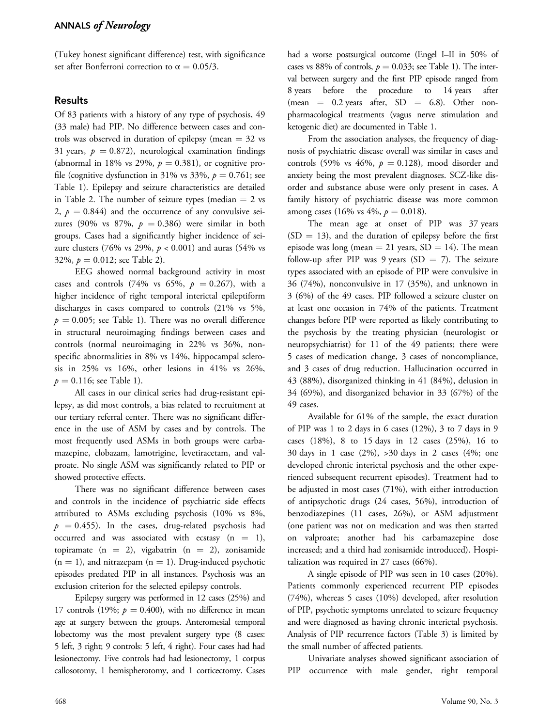(Tukey honest significant difference) test, with significance set after Bonferroni correction to  $\alpha = 0.05/3$ .

## Results

Of 83 patients with a history of any type of psychosis, 49 (33 male) had PIP. No difference between cases and controls was observed in duration of epilepsy (mean  $=$  32 vs 31 years,  $p = 0.872$ ), neurological examination findings (abnormal in 18% vs 29%,  $p = 0.381$ ), or cognitive profile (cognitive dysfunction in 31% vs 33%,  $p = 0.761$ ; see Table 1). Epilepsy and seizure characteristics are detailed in Table 2. The number of seizure types (median  $= 2$  vs 2,  $p = 0.844$ ) and the occurrence of any convulsive seizures (90% vs 87%,  $p = 0.386$ ) were similar in both groups. Cases had a significantly higher incidence of seizure clusters (76% vs 29%,  $p < 0.001$ ) and auras (54% vs 32%,  $p = 0.012$ ; see Table 2).

EEG showed normal background activity in most cases and controls (74% vs 65%,  $p = 0.267$ ), with a higher incidence of right temporal interictal epileptiform discharges in cases compared to controls (21% vs 5%,  $p = 0.005$ ; see Table 1). There was no overall difference in structural neuroimaging findings between cases and controls (normal neuroimaging in 22% vs 36%, nonspecific abnormalities in 8% vs 14%, hippocampal sclerosis in 25% vs 16%, other lesions in 41% vs 26%,  $p = 0.116$ ; see Table 1).

All cases in our clinical series had drug-resistant epilepsy, as did most controls, a bias related to recruitment at our tertiary referral center. There was no significant difference in the use of ASM by cases and by controls. The most frequently used ASMs in both groups were carbamazepine, clobazam, lamotrigine, levetiracetam, and valproate. No single ASM was significantly related to PIP or showed protective effects.

There was no significant difference between cases and controls in the incidence of psychiatric side effects attributed to ASMs excluding psychosis (10% vs 8%,  $p = 0.455$ ). In the cases, drug-related psychosis had occurred and was associated with ecstasy  $(n = 1)$ , topiramate  $(n = 2)$ , vigabatrin  $(n = 2)$ , zonisamide  $(n = 1)$ , and nitrazepam  $(n = 1)$ . Drug-induced psychotic episodes predated PIP in all instances. Psychosis was an exclusion criterion for the selected epilepsy controls.

Epilepsy surgery was performed in 12 cases (25%) and 17 controls (19%;  $p = 0.400$ ), with no difference in mean age at surgery between the groups. Anteromesial temporal lobectomy was the most prevalent surgery type (8 cases: 5 left, 3 right; 9 controls: 5 left, 4 right). Four cases had had lesionectomy. Five controls had had lesionectomy, 1 corpus callosotomy, 1 hemispherotomy, and 1 corticectomy. Cases

had a worse postsurgical outcome (Engel I–II in 50% of cases vs 88% of controls,  $p = 0.033$ ; see Table 1). The interval between surgery and the first PIP episode ranged from 8 years before the procedure to 14 years after (mean  $= 0.2$  years after,  $SD = 6.8$ ). Other nonpharmacological treatments (vagus nerve stimulation and ketogenic diet) are documented in Table 1.

From the association analyses, the frequency of diagnosis of psychiatric disease overall was similar in cases and controls (59% vs 46%,  $p = 0.128$ ), mood disorder and anxiety being the most prevalent diagnoses. SCZ-like disorder and substance abuse were only present in cases. A family history of psychiatric disease was more common among cases (16% vs 4%,  $p = 0.018$ ).

The mean age at onset of PIP was 37 years  $(SD = 13)$ , and the duration of epilepsy before the first episode was long (mean  $= 21$  years,  $SD = 14$ ). The mean follow-up after PIP was 9 years (SD = 7). The seizure types associated with an episode of PIP were convulsive in 36 (74%), nonconvulsive in 17 (35%), and unknown in 3 (6%) of the 49 cases. PIP followed a seizure cluster on at least one occasion in 74% of the patients. Treatment changes before PIP were reported as likely contributing to the psychosis by the treating physician (neurologist or neuropsychiatrist) for 11 of the 49 patients; there were 5 cases of medication change, 3 cases of noncompliance, and 3 cases of drug reduction. Hallucination occurred in 43 (88%), disorganized thinking in 41 (84%), delusion in 34 (69%), and disorganized behavior in 33 (67%) of the 49 cases.

Available for 61% of the sample, the exact duration of PIP was 1 to 2 days in 6 cases (12%), 3 to 7 days in 9 cases (18%), 8 to 15 days in 12 cases (25%), 16 to 30 days in 1 case (2%), >30 days in 2 cases (4%; one developed chronic interictal psychosis and the other experienced subsequent recurrent episodes). Treatment had to be adjusted in most cases (71%), with either introduction of antipsychotic drugs (24 cases, 56%), introduction of benzodiazepines (11 cases, 26%), or ASM adjustment (one patient was not on medication and was then started on valproate; another had his carbamazepine dose increased; and a third had zonisamide introduced). Hospitalization was required in 27 cases (66%).

A single episode of PIP was seen in 10 cases (20%). Patients commonly experienced recurrent PIP episodes (74%), whereas 5 cases (10%) developed, after resolution of PIP, psychotic symptoms unrelated to seizure frequency and were diagnosed as having chronic interictal psychosis. Analysis of PIP recurrence factors (Table 3) is limited by the small number of affected patients.

Univariate analyses showed significant association of PIP occurrence with male gender, right temporal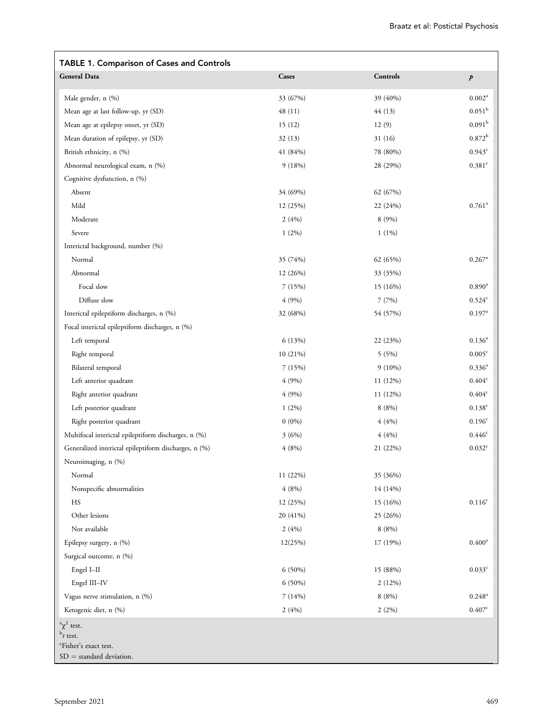| <b>TABLE 1. Comparison of Cases and Controls</b>                                                          |          |                 |                      |
|-----------------------------------------------------------------------------------------------------------|----------|-----------------|----------------------|
| <b>General Data</b>                                                                                       | Cases    | <b>Controls</b> | $\boldsymbol{p}$     |
| Male gender, n (%)                                                                                        | 33 (67%) | 39 (40%)        | 0.002 <sup>a</sup>   |
| Mean age at last follow-up, yr (SD)                                                                       | 48(11)   | 44(13)          | 0.051 <sup>b</sup>   |
| Mean age at epilepsy onset, yr (SD)                                                                       | 15(12)   | 12(9)           | $0.091^{\rm b}$      |
| Mean duration of epilepsy, yr (SD)                                                                        | 32(13)   | 31 (16)         | $0.872^{\rm b}$      |
| British ethnicity, n (%)                                                                                  | 41(84%)  | 78 (80%)        | $0.943^{\circ}$      |
| Abnormal neurological exam, n (%)                                                                         | 9(18%)   | 28 (29%)        | $0.381$ <sup>c</sup> |
| Cognitive dysfunction, n (%)                                                                              |          |                 |                      |
| Absent                                                                                                    | 34 (69%) | 62 (67%)        |                      |
| Mild                                                                                                      | 12 (25%) | 22 (24%)        | $0.761$ <sup>a</sup> |
| Moderate                                                                                                  | 2(4%)    | 8 (9%)          |                      |
| Severe                                                                                                    | $1(2\%)$ | $1(1\%)$        |                      |
| Interictal background, number (%)                                                                         |          |                 |                      |
| Normal                                                                                                    | 35 (74%) | 62 (65%)        | $0.267$ <sup>a</sup> |
| Abnormal                                                                                                  | 12 (26%) | 33 (35%)        |                      |
| Focal slow                                                                                                | 7(15%)   | 15 (16%)        | $0.890^{\rm a}$      |
| Diffuse slow                                                                                              | 4(9%)    | 7(7%)           | 0.524c               |
| Interictal epileptiform discharges, n (%)                                                                 | 32 (68%) | 54 (57%)        | $0.197^{\rm a}$      |
| Focal interictal epileptiform discharges, n (%)                                                           |          |                 |                      |
| Left temporal                                                                                             | 6(13%)   | 22 (23%)        | $0.136^{a}$          |
| Right temporal                                                                                            | 10 (21%) | 5(5%)           | 0.005 <sup>c</sup>   |
| Bilateral temporal                                                                                        | 7(15%)   | $9(10\%)$       | $0.336^{a}$          |
| Left anterior quadrant                                                                                    | 4(9%)    | 11 (12%)        | $0.404^{\circ}$      |
| Right anterior quadrant                                                                                   | 4(9%)    | 11 (12%)        | $0.404^{\circ}$      |
| Left posterior quadrant                                                                                   | $1(2\%)$ | 8(8%)           | $0.138^{c}$          |
| Right posterior quadrant                                                                                  | $0(0\%)$ | 4(4%)           | 0.196 <sup>c</sup>   |
| Multifocal interictal epileptiform discharges, n (%)                                                      | 3(6%)    | 4(4%)           | 0.446 <sup>c</sup>   |
| Generalized interictal epileptiform discharges, n (%)                                                     | 4(8%)    | 21 (22%)        | 0.032 <sup>c</sup>   |
| Neuroimaging, n (%)                                                                                       |          |                 |                      |
| Normal                                                                                                    | 11 (22%) | 35 (36%)        |                      |
| Nonspecific abnormalities                                                                                 | 4(8%)    | 14 (14%)        |                      |
| HS                                                                                                        | 12 (25%) | 15 (16%)        | $0.116^{\rm c}$      |
| Other lesions                                                                                             | 20 (41%) | 25 (26%)        |                      |
| Not available                                                                                             | 2(4%)    | 8(8%)           |                      |
| Epilepsy surgery, n (%)                                                                                   | 12(25%)  | 17 (19%)        | $0.400^{\rm a}$      |
| Surgical outcome, n (%)                                                                                   |          |                 |                      |
| Engel I-II                                                                                                | 6 (50%)  | 15 (88%)        | $0.033$ <sup>c</sup> |
| Engel III-IV                                                                                              | 6 (50%)  | 2(12%)          |                      |
| Vagus nerve stimulation, n (%)                                                                            | 7(14%)   | 8(8%)           | $0.248^{\rm a}$      |
| Ketogenic diet, n (%)                                                                                     | 2(4%)    | 2(2%)           | 0.407c               |
|                                                                                                           |          |                 |                      |
| $\alpha^2$ test.<br>$^{\rm b}t$ test.<br><sup>c</sup> Fisher's exact test.<br>$SD = standard deviation$ . |          |                 |                      |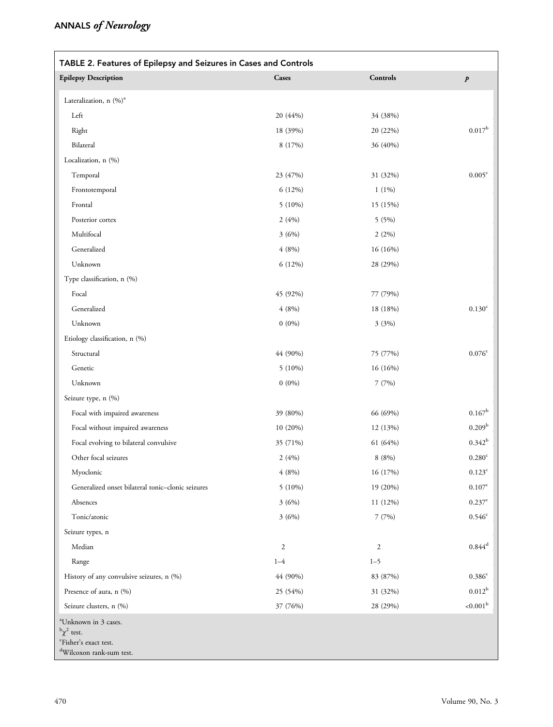| TABLE 2. Features of Epilepsy and Seizures in Cases and Controls                                                              |              |                 |                      |  |  |  |  |
|-------------------------------------------------------------------------------------------------------------------------------|--------------|-----------------|----------------------|--|--|--|--|
| <b>Epilepsy Description</b>                                                                                                   | <b>Cases</b> | <b>Controls</b> | $\boldsymbol{p}$     |  |  |  |  |
| Lateralization, n (%) <sup>a</sup>                                                                                            |              |                 |                      |  |  |  |  |
| Left                                                                                                                          | 20 (44%)     | 34 (38%)        |                      |  |  |  |  |
| Right                                                                                                                         | 18 (39%)     | 20 (22%)        | $0.017^{b}$          |  |  |  |  |
| Bilateral                                                                                                                     | 8 (17%)      | 36 (40%)        |                      |  |  |  |  |
| Localization, n (%)                                                                                                           |              |                 |                      |  |  |  |  |
| Temporal                                                                                                                      | 23 (47%)     | 31 (32%)        | 0.005 <sup>c</sup>   |  |  |  |  |
| Frontotemporal                                                                                                                | 6 (12%)      | $1(1\%)$        |                      |  |  |  |  |
| Frontal                                                                                                                       | $5(10\%)$    | 15 (15%)        |                      |  |  |  |  |
| Posterior cortex                                                                                                              | 2(4%)        | 5 (5%)          |                      |  |  |  |  |
| Multifocal                                                                                                                    | 3(6%)        | 2(2%)           |                      |  |  |  |  |
| Generalized                                                                                                                   | 4(8%)        | 16 (16%)        |                      |  |  |  |  |
| Unknown                                                                                                                       | 6 (12%)      | 28 (29%)        |                      |  |  |  |  |
| Type classification, n (%)                                                                                                    |              |                 |                      |  |  |  |  |
| Focal                                                                                                                         | 45 (92%)     | 77 (79%)        |                      |  |  |  |  |
| Generalized                                                                                                                   | 4(8%)        | 18 (18%)        | $0.130^{c}$          |  |  |  |  |
| Unknown                                                                                                                       | $0(0\%)$     | 3(3%)           |                      |  |  |  |  |
| Etiology classification, n (%)                                                                                                |              |                 |                      |  |  |  |  |
| Structural                                                                                                                    | 44 (90%)     | 75 (77%)        | $0.076^{\circ}$      |  |  |  |  |
| Genetic                                                                                                                       | $5(10\%)$    | 16 (16%)        |                      |  |  |  |  |
| Unknown                                                                                                                       | $0(0\%)$     | 7(7%)           |                      |  |  |  |  |
| Seizure type, n (%)                                                                                                           |              |                 |                      |  |  |  |  |
| Focal with impaired awareness                                                                                                 | 39 (80%)     | 66 (69%)        | $0.167^{\rm b}$      |  |  |  |  |
| Focal without impaired awareness                                                                                              | $10(20\%)$   | 12 (13%)        | 0.209 <sup>b</sup>   |  |  |  |  |
| Focal evolving to bilateral convulsive                                                                                        | 35 (71%)     | 61 (64%)        | $0.342^{b}$          |  |  |  |  |
| Other focal seizures                                                                                                          | 2(4%)        | 8(8%)           | $0.280$ <sup>c</sup> |  |  |  |  |
| Myoclonic                                                                                                                     | 4(8%)        | 16 (17%)        | $0.123^{\rm c}$      |  |  |  |  |
| Generalized onset bilateral tonic-clonic seizures                                                                             | $5(10\%)$    | 19 (20%)        | $0.107^{\rm c}$      |  |  |  |  |
| Absences                                                                                                                      | 3(6%)        | 11 (12%)        | $0.237^{\rm c}$      |  |  |  |  |
| Tonic/atonic                                                                                                                  | 3(6%)        | 7(7%)           | $0.546^{\rm c}$      |  |  |  |  |
| Seizure types, n                                                                                                              |              |                 |                      |  |  |  |  |
| Median                                                                                                                        | $\sqrt{2}$   | $\mathbf{2}$    | $0.844^d$            |  |  |  |  |
| Range                                                                                                                         | $1 - 4$      | $1 - 5$         |                      |  |  |  |  |
| History of any convulsive seizures, n (%)                                                                                     | 44 (90%)     | 83 (87%)        | 0.386 <sup>c</sup>   |  |  |  |  |
| Presence of aura, n (%)                                                                                                       | 25 (54%)     | 31 (32%)        | $0.012^{\rm b}$      |  |  |  |  |
| Seizure clusters, n (%)                                                                                                       | 37 (76%)     | 28 (29%)        | ${<}0.001^{\rm b}$   |  |  |  |  |
| <sup>a</sup> Unknown in 3 cases.<br>$\frac{b}{\chi^2}$ test.<br>'Fisher's exact test.<br><sup>d</sup> Wilcoxon rank-sum test. |              |                 |                      |  |  |  |  |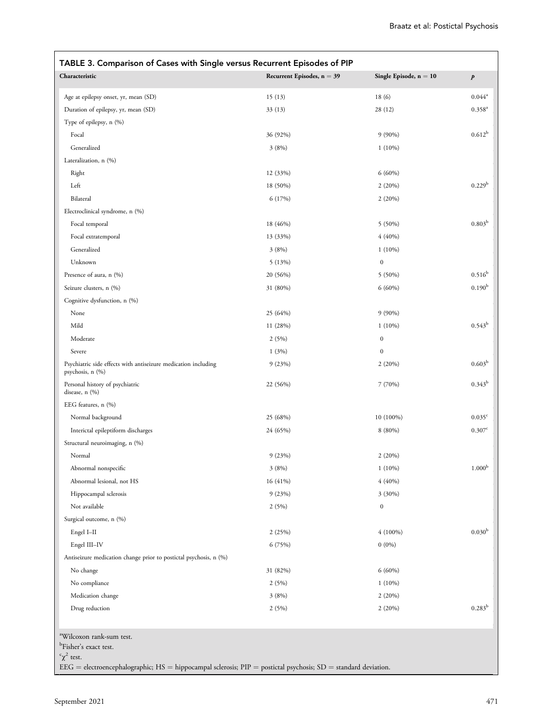| Characteristic                                                                                             | Recurrent Episodes, $n = 39$ | Single Episode, $n = 10$ | $\boldsymbol{p}$   |
|------------------------------------------------------------------------------------------------------------|------------------------------|--------------------------|--------------------|
| Age at epilepsy onset, yr, mean (SD)                                                                       | 15(13)                       | 18(6)                    | $0.044^a$          |
| Duration of epilepsy, yr, mean (SD)                                                                        | 33(13)                       | 28 (12)                  | $0.358^{a}$        |
| Type of epilepsy, n (%)                                                                                    |                              |                          |                    |
| Focal                                                                                                      | 36 (92%)                     | $9(90\%)$                | $0.612^b$          |
| Generalized                                                                                                | 3(8%)                        | $1(10\%)$                |                    |
| Lateralization, n (%)                                                                                      |                              |                          |                    |
| Right                                                                                                      | 12 (33%)                     | $6(60\%)$                |                    |
| Left                                                                                                       | 18 (50%)                     | 2(20%)                   | 0.229 <sup>b</sup> |
| Bilateral                                                                                                  | 6(17%)                       | 2(20%)                   |                    |
| Electroclinical syndrome, n (%)                                                                            |                              |                          |                    |
| Focal temporal                                                                                             | 18 (46%)                     | $5(50\%)$                | 0.803 <sup>b</sup> |
| Focal extratemporal                                                                                        | 13 (33%)                     | $4(40\%)$                |                    |
| Generalized                                                                                                | 3(8%)                        | $1(10\%)$                |                    |
| Unknown                                                                                                    | 5(13%)                       | $\boldsymbol{0}$         |                    |
| Presence of aura, n (%)                                                                                    | 20 (56%)                     | $5(50\%)$                | $0.516^b$          |
| Seizure clusters, n (%)                                                                                    | 31 (80%)                     | $6(60\%)$                | 0.190 <sup>b</sup> |
| Cognitive dysfunction, n (%)                                                                               |                              |                          |                    |
| None                                                                                                       | 25 (64%)                     | $9(90\%)$                |                    |
| Mild                                                                                                       | 11 (28%)                     | $1(10\%)$                | $0.543^{\rm b}$    |
| Moderate                                                                                                   | 2(5%)                        | $\boldsymbol{0}$         |                    |
| Severe                                                                                                     |                              | $\boldsymbol{0}$         |                    |
| Psychiatric side effects with antiseizure medication including<br>psychosis, n (%)                         | 1(3%)<br>9(23%)              | 2(20%)                   | 0.603 <sup>b</sup> |
| Personal history of psychiatric<br>disease, $n$ $(\%)$                                                     | 22 (56%)                     | 7 (70%)                  | $0.343^{b}$        |
| EEG features, n (%)                                                                                        |                              |                          |                    |
| Normal background                                                                                          | 25 (68%)                     | 10 (100%)                | 0.035 <sup>c</sup> |
| Interictal epileptiform discharges                                                                         | 24 (65%)                     | $8(80\%)$                | 0.307c             |
| Structural neuroimaging, n (%)                                                                             |                              |                          |                    |
| Normal                                                                                                     | 9(23%)                       | 2(20%)                   |                    |
| Abnormal nonspecific                                                                                       | 3(8%)                        | $1(10\%)$                | 1.000 <sup>b</sup> |
| Abnormal lesional, not HS                                                                                  | 16 (41%)                     | 4(40%)                   |                    |
| Hippocampal sclerosis                                                                                      | 9(23%)                       | $3(30\%)$                |                    |
| Not available                                                                                              | 2(5%)                        | $\boldsymbol{0}$         |                    |
| Surgical outcome, n (%)                                                                                    |                              |                          |                    |
| Engel I-II                                                                                                 | 2(25%)                       | $4(100\%)$               | 0.030 <sup>b</sup> |
| Engel III-IV                                                                                               | 6 (75%)                      | $0(0\%)$                 |                    |
| Antiseizure medication change prior to postictal psychosis, n (%)                                          |                              |                          |                    |
| No change                                                                                                  | 31 (82%)                     | $6(60\%)$                |                    |
| No compliance                                                                                              | 2(5%)                        | $1(10\%)$                |                    |
| Medication change                                                                                          | 3(8%)                        | 2(20%)                   |                    |
| Drug reduction                                                                                             | 2(5%)                        | 2(20%)                   | $0.283^{b}$        |
| <sup>a</sup> Wilcoxon rank-sum test.<br><sup>b</sup> Fisher's exact test.<br>$\int_{c}^{c} \chi^{2}$ test. |                              |                          |                    |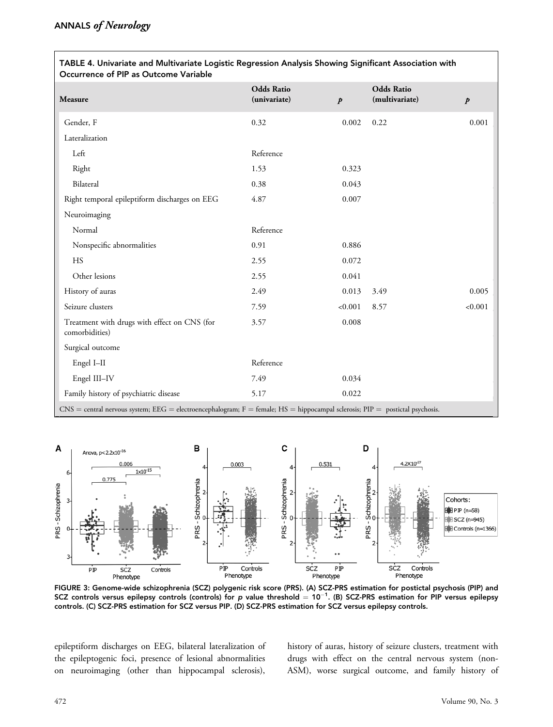$\sqrt{ }$ 

| TABLE 4. Univariate and Multivariate Logistic Regression Analysis Showing Significant Association with<br>Occurrence of PIP as Outcome Variable |                                   |                  |                                     |                  |  |
|-------------------------------------------------------------------------------------------------------------------------------------------------|-----------------------------------|------------------|-------------------------------------|------------------|--|
| <b>Measure</b>                                                                                                                                  | <b>Odds Ratio</b><br>(univariate) | $\boldsymbol{p}$ | <b>Odds Ratio</b><br>(multivariate) | $\boldsymbol{p}$ |  |
| Gender, F                                                                                                                                       | 0.32                              | 0.002            | 0.22                                | 0.001            |  |
| Lateralization                                                                                                                                  |                                   |                  |                                     |                  |  |
| Left                                                                                                                                            | Reference                         |                  |                                     |                  |  |
| Right                                                                                                                                           | 1.53                              | 0.323            |                                     |                  |  |
| Bilateral                                                                                                                                       | 0.38                              | 0.043            |                                     |                  |  |
| Right temporal epileptiform discharges on EEG                                                                                                   | 4.87                              | 0.007            |                                     |                  |  |
| Neuroimaging                                                                                                                                    |                                   |                  |                                     |                  |  |
| Normal                                                                                                                                          | Reference                         |                  |                                     |                  |  |
| Nonspecific abnormalities                                                                                                                       | 0.91                              | 0.886            |                                     |                  |  |
| HS                                                                                                                                              | 2.55                              | 0.072            |                                     |                  |  |
| Other lesions                                                                                                                                   | 2.55                              | 0.041            |                                     |                  |  |
| History of auras                                                                                                                                | 2.49                              | 0.013            | 3.49                                | 0.005            |  |
| Seizure clusters                                                                                                                                | 7.59                              | < 0.001          | 8.57                                | < 0.001          |  |
| Treatment with drugs with effect on CNS (for<br>comorbidities)                                                                                  | 3.57                              | 0.008            |                                     |                  |  |
| Surgical outcome                                                                                                                                |                                   |                  |                                     |                  |  |
| Engel I-II                                                                                                                                      | Reference                         |                  |                                     |                  |  |
| Engel III-IV                                                                                                                                    | 7.49                              | 0.034            |                                     |                  |  |
| Family history of psychiatric disease                                                                                                           | 5.17                              | 0.022            |                                     |                  |  |
| $CNS =$ central nervous system; EEG = electroencephalogram; F = female; HS = hippocampal sclerosis; PIP = postictal psychosis.                  |                                   |                  |                                     |                  |  |



FIGURE 3: Genome-wide schizophrenia (SCZ) polygenic risk score (PRS). (A) SCZ-PRS estimation for postictal psychosis (PIP) and SCZ controls versus epilepsy controls (controls) for  $p$  value threshold  $=10^{-1}$ . (B) SCZ-PRS estimation for PIP versus epilepsy controls. (C) SCZ-PRS estimation for SCZ versus PIP. (D) SCZ-PRS estimation for SCZ versus epilepsy controls.

epileptiform discharges on EEG, bilateral lateralization of the epileptogenic foci, presence of lesional abnormalities on neuroimaging (other than hippocampal sclerosis),

history of auras, history of seizure clusters, treatment with drugs with effect on the central nervous system (non-ASM), worse surgical outcome, and family history of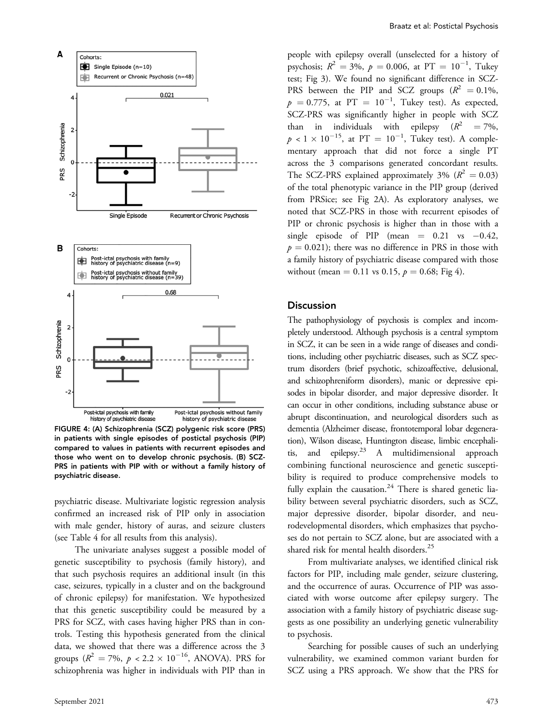

FIGURE 4: (A) Schizophrenia (SCZ) polygenic risk score (PRS) in patients with single episodes of postictal psychosis (PIP) compared to values in patients with recurrent episodes and those who went on to develop chronic psychosis. (B) SCZ-PRS in patients with PIP with or without a family history of psychiatric disease.

psychiatric disease. Multivariate logistic regression analysis confirmed an increased risk of PIP only in association with male gender, history of auras, and seizure clusters (see Table 4 for all results from this analysis).

The univariate analyses suggest a possible model of genetic susceptibility to psychosis (family history), and that such psychosis requires an additional insult (in this case, seizures, typically in a cluster and on the background of chronic epilepsy) for manifestation. We hypothesized that this genetic susceptibility could be measured by a PRS for SCZ, with cases having higher PRS than in controls. Testing this hypothesis generated from the clinical data, we showed that there was a difference across the 3 groups ( $R^2 = 7\%$ ,  $p < 2.2 \times 10^{-16}$ , ANOVA). PRS for schizophrenia was higher in individuals with PIP than in

people with epilepsy overall (unselected for a history of psychosis;  $R^2 = 3\%$ ,  $p = 0.006$ , at  $PT = 10^{-1}$ , Tukey test; Fig 3). We found no significant difference in SCZ-PRS between the PIP and SCZ groups  $(R^2 = 0.1\%$ ,  $p = 0.775$ , at  $PT = 10^{-1}$ , Tukey test). As expected,<br>SCZ PPS was significantly bigher in people with SCZ SCZ-PRS was significantly higher in people with SCZ than in individuals with epilepsy  $(R^2 = 7\%,$  $p < 1 \times 10^{-15}$ , at PT =  $10^{-1}$ , Tukey test). A complementary approach that did not force a single PT mentary approach that did not force a single PT across the 3 comparisons generated concordant results. The SCZ-PRS explained approximately 3% ( $R^2 = 0.03$ ) of the total phenotypic variance in the PIP group (derived from PRSice; see Fig 2A). As exploratory analyses, we noted that SCZ-PRS in those with recurrent episodes of PIP or chronic psychosis is higher than in those with a single episode of PIP (mean  $= 0.21$  vs  $-0.42$ ,  $p = 0.021$ ; there was no difference in PRS in those with a family history of psychiatric disease compared with those without (mean = 0.11 vs 0.15,  $p = 0.68$ ; Fig 4).

#### **Discussion**

The pathophysiology of psychosis is complex and incompletely understood. Although psychosis is a central symptom in SCZ, it can be seen in a wide range of diseases and conditions, including other psychiatric diseases, such as SCZ spectrum disorders (brief psychotic, schizoaffective, delusional, and schizophreniform disorders), manic or depressive episodes in bipolar disorder, and major depressive disorder. It can occur in other conditions, including substance abuse or abrupt discontinuation, and neurological disorders such as dementia (Alzheimer disease, frontotemporal lobar degeneration), Wilson disease, Huntington disease, limbic encephalitis, and epilepsy.<sup>23</sup> A multidimensional approach combining functional neuroscience and genetic susceptibility is required to produce comprehensive models to fully explain the causation.<sup>24</sup> There is shared genetic liability between several psychiatric disorders, such as SCZ, major depressive disorder, bipolar disorder, and neurodevelopmental disorders, which emphasizes that psychoses do not pertain to SCZ alone, but are associated with a shared risk for mental health disorders.<sup>25</sup>

From multivariate analyses, we identified clinical risk factors for PIP, including male gender, seizure clustering, and the occurrence of auras. Occurrence of PIP was associated with worse outcome after epilepsy surgery. The association with a family history of psychiatric disease suggests as one possibility an underlying genetic vulnerability to psychosis.

Searching for possible causes of such an underlying vulnerability, we examined common variant burden for SCZ using a PRS approach. We show that the PRS for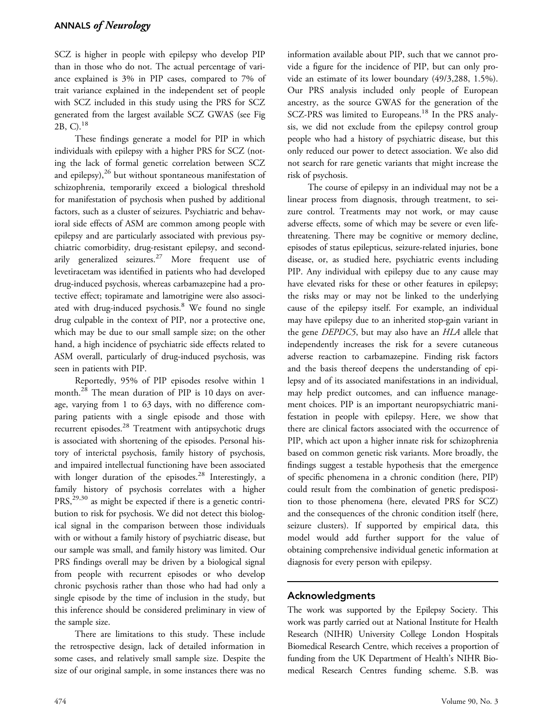SCZ is higher in people with epilepsy who develop PIP than in those who do not. The actual percentage of variance explained is 3% in PIP cases, compared to 7% of trait variance explained in the independent set of people with SCZ included in this study using the PRS for SCZ generated from the largest available SCZ GWAS (see Fig 2B, C).18

These findings generate a model for PIP in which individuals with epilepsy with a higher PRS for SCZ (noting the lack of formal genetic correlation between SCZ and epilepsy), $^{26}$  but without spontaneous manifestation of schizophrenia, temporarily exceed a biological threshold for manifestation of psychosis when pushed by additional factors, such as a cluster of seizures. Psychiatric and behavioral side effects of ASM are common among people with epilepsy and are particularly associated with previous psychiatric comorbidity, drug-resistant epilepsy, and secondarily generalized seizures.<sup>27</sup> More frequent use of levetiracetam was identified in patients who had developed drug-induced psychosis, whereas carbamazepine had a protective effect; topiramate and lamotrigine were also associated with drug-induced psychosis.<sup>8</sup> We found no single drug culpable in the context of PIP, nor a protective one, which may be due to our small sample size; on the other hand, a high incidence of psychiatric side effects related to ASM overall, particularly of drug-induced psychosis, was seen in patients with PIP.

Reportedly, 95% of PIP episodes resolve within 1 month.<sup>28</sup> The mean duration of PIP is 10 days on average, varying from 1 to 63 days, with no difference comparing patients with a single episode and those with recurrent episodes.<sup>28</sup> Treatment with antipsychotic drugs is associated with shortening of the episodes. Personal history of interictal psychosis, family history of psychosis, and impaired intellectual functioning have been associated with longer duration of the episodes. $^{28}$  Interestingly, a family history of psychosis correlates with a higher  $PRS<sub>1</sub><sup>29,30</sup>$  as might be expected if there is a genetic contribution to risk for psychosis. We did not detect this biological signal in the comparison between those individuals with or without a family history of psychiatric disease, but our sample was small, and family history was limited. Our PRS findings overall may be driven by a biological signal from people with recurrent episodes or who develop chronic psychosis rather than those who had had only a single episode by the time of inclusion in the study, but this inference should be considered preliminary in view of the sample size.

There are limitations to this study. These include the retrospective design, lack of detailed information in some cases, and relatively small sample size. Despite the size of our original sample, in some instances there was no

information available about PIP, such that we cannot provide a figure for the incidence of PIP, but can only provide an estimate of its lower boundary (49/3,288, 1.5%). Our PRS analysis included only people of European ancestry, as the source GWAS for the generation of the SCZ-PRS was limited to Europeans.<sup>18</sup> In the PRS analysis, we did not exclude from the epilepsy control group people who had a history of psychiatric disease, but this only reduced our power to detect association. We also did not search for rare genetic variants that might increase the risk of psychosis.

The course of epilepsy in an individual may not be a linear process from diagnosis, through treatment, to seizure control. Treatments may not work, or may cause adverse effects, some of which may be severe or even lifethreatening. There may be cognitive or memory decline, episodes of status epilepticus, seizure-related injuries, bone disease, or, as studied here, psychiatric events including PIP. Any individual with epilepsy due to any cause may have elevated risks for these or other features in epilepsy; the risks may or may not be linked to the underlying cause of the epilepsy itself. For example, an individual may have epilepsy due to an inherited stop-gain variant in the gene DEPDC5, but may also have an HLA allele that independently increases the risk for a severe cutaneous adverse reaction to carbamazepine. Finding risk factors and the basis thereof deepens the understanding of epilepsy and of its associated manifestations in an individual, may help predict outcomes, and can influence management choices. PIP is an important neuropsychiatric manifestation in people with epilepsy. Here, we show that there are clinical factors associated with the occurrence of PIP, which act upon a higher innate risk for schizophrenia based on common genetic risk variants. More broadly, the findings suggest a testable hypothesis that the emergence of specific phenomena in a chronic condition (here, PIP) could result from the combination of genetic predisposition to those phenomena (here, elevated PRS for SCZ) and the consequences of the chronic condition itself (here, seizure clusters). If supported by empirical data, this model would add further support for the value of obtaining comprehensive individual genetic information at diagnosis for every person with epilepsy.

## Acknowledgments

The work was supported by the Epilepsy Society. This work was partly carried out at National Institute for Health Research (NIHR) University College London Hospitals Biomedical Research Centre, which receives a proportion of funding from the UK Department of Health's NIHR Biomedical Research Centres funding scheme. S.B. was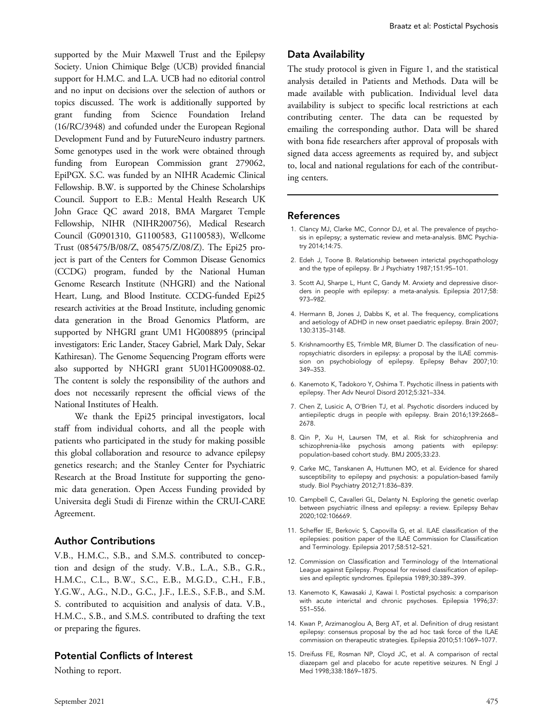supported by the Muir Maxwell Trust and the Epilepsy Society. Union Chimique Belge (UCB) provided financial support for H.M.C. and L.A. UCB had no editorial control and no input on decisions over the selection of authors or topics discussed. The work is additionally supported by grant funding from Science Foundation Ireland (16/RC/3948) and cofunded under the European Regional Development Fund and by FutureNeuro industry partners. Some genotypes used in the work were obtained through funding from European Commission grant 279062, EpiPGX. S.C. was funded by an NIHR Academic Clinical Fellowship. B.W. is supported by the Chinese Scholarships Council. Support to E.B.: Mental Health Research UK John Grace QC award 2018, BMA Margaret Temple Fellowship, NIHR (NIHR200756), Medical Research Council (G0901310, G1100583, G1100583), Wellcome Trust (085475/B/08/Z, 085475/Z/08/Z). The Epi25 project is part of the Centers for Common Disease Genomics (CCDG) program, funded by the National Human Genome Research Institute (NHGRI) and the National Heart, Lung, and Blood Institute. CCDG-funded Epi25 research activities at the Broad Institute, including genomic data generation in the Broad Genomics Platform, are supported by NHGRI grant UM1 HG008895 (principal investigators: Eric Lander, Stacey Gabriel, Mark Daly, Sekar Kathiresan). The Genome Sequencing Program efforts were also supported by NHGRI grant 5U01HG009088-02. The content is solely the responsibility of the authors and does not necessarily represent the official views of the National Institutes of Health.

We thank the Epi25 principal investigators, local staff from individual cohorts, and all the people with patients who participated in the study for making possible this global collaboration and resource to advance epilepsy genetics research; and the Stanley Center for Psychiatric Research at the Broad Institute for supporting the genomic data generation. Open Access Funding provided by Universita degli Studi di Firenze within the CRUI-CARE Agreement.

### Author Contributions

V.B., H.M.C., S.B., and S.M.S. contributed to conception and design of the study. V.B., L.A., S.B., G.R., H.M.C., C.L., B.W., S.C., E.B., M.G.D., C.H., F.B., Y.G.W., A.G., N.D., G.C., J.F., I.E.S., S.F.B., and S.M. S. contributed to acquisition and analysis of data. V.B., H.M.C., S.B., and S.M.S. contributed to drafting the text or preparing the figures.

## Potential Conflicts of Interest

Nothing to report.

## Data Availability

The study protocol is given in Figure 1, and the statistical analysis detailed in Patients and Methods. Data will be made available with publication. Individual level data availability is subject to specific local restrictions at each contributing center. The data can be requested by emailing the corresponding author. Data will be shared with bona fide researchers after approval of proposals with signed data access agreements as required by, and subject to, local and national regulations for each of the contributing centers.

### References

- 1. Clancy MJ, Clarke MC, Connor DJ, et al. The prevalence of psychosis in epilepsy; a systematic review and meta-analysis. BMC Psychiatry 2014;14:75.
- 2. Edeh J, Toone B. Relationship between interictal psychopathology and the type of epilepsy. Br J Psychiatry 1987;151:95–101.
- 3. Scott AJ, Sharpe L, Hunt C, Gandy M. Anxiety and depressive disorders in people with epilepsy: a meta-analysis. Epilepsia 2017;58: 973–982.
- 4. Hermann B, Jones J, Dabbs K, et al. The frequency, complications and aetiology of ADHD in new onset paediatric epilepsy. Brain 2007; 130:3135–3148.
- 5. Krishnamoorthy ES, Trimble MR, Blumer D. The classification of neuropsychiatric disorders in epilepsy: a proposal by the ILAE commission on psychobiology of epilepsy. Epilepsy Behav 2007;10: 349–353.
- 6. Kanemoto K, Tadokoro Y, Oshima T. Psychotic illness in patients with epilepsy. Ther Adv Neurol Disord 2012;5:321–334.
- 7. Chen Z, Lusicic A, O'Brien TJ, et al. Psychotic disorders induced by antiepileptic drugs in people with epilepsy. Brain 2016;139:2668– 2678.
- 8. Qin P, Xu H, Laursen TM, et al. Risk for schizophrenia and schizophrenia-like psychosis among patients with epilepsy: population-based cohort study. BMJ 2005;33:23.
- 9. Carke MC, Tanskanen A, Huttunen MO, et al. Evidence for shared susceptibility to epilepsy and psychosis: a population-based family study. Biol Psychiatry 2012;71:836–839.
- 10. Campbell C, Cavalleri GL, Delanty N. Exploring the genetic overlap between psychiatric illness and epilepsy: a review. Epilepsy Behav 2020;102:106669.
- 11. Scheffer IE, Berkovic S, Capovilla G, et al. ILAE classification of the epilepsies: position paper of the ILAE Commission for Classification and Terminology. Epilepsia 2017;58:512–521.
- 12. Commission on Classification and Terminology of the International League against Epilepsy. Proposal for revised classification of epilepsies and epileptic syndromes. Epilepsia 1989;30:389–399.
- 13. Kanemoto K, Kawasaki J, Kawai I. Postictal psychosis: a comparison with acute interictal and chronic psychoses. Epilepsia 1996;37: 551–556.
- 14. Kwan P, Arzimanoglou A, Berg AT, et al. Definition of drug resistant epilepsy: consensus proposal by the ad hoc task force of the ILAE commission on therapeutic strategies. Epilepsia 2010;51:1069–1077.
- 15. Dreifuss FE, Rosman NP, Cloyd JC, et al. A comparison of rectal diazepam gel and placebo for acute repetitive seizures. N Engl J Med 1998;338:1869–1875.